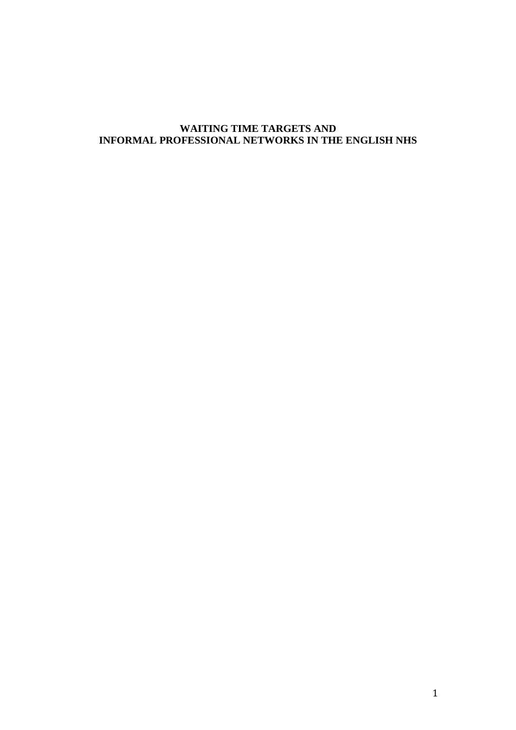# **WAITING TIME TARGETS AND INFORMAL PROFESSIONAL NETWORKS IN THE ENGLISH NHS**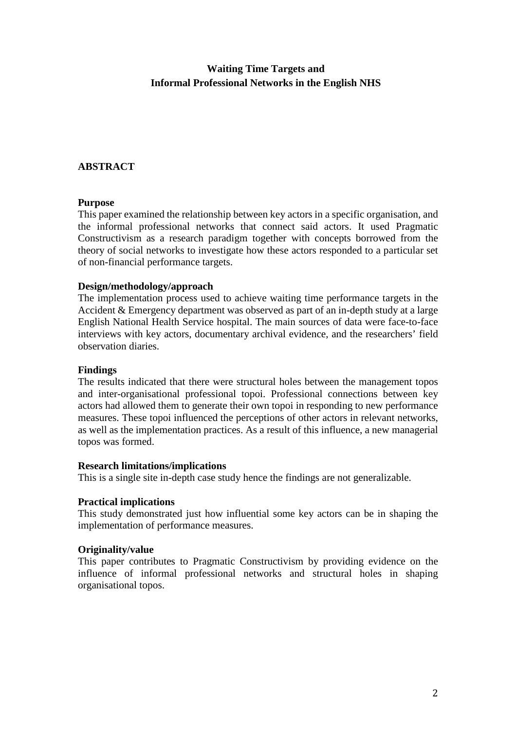# **Waiting Time Targets and Informal Professional Networks in the English NHS**

# **ABSTRACT**

## **Purpose**

This paper examined the relationship between key actors in a specific organisation, and the informal professional networks that connect said actors. It used Pragmatic Constructivism as a research paradigm together with concepts borrowed from the theory of social networks to investigate how these actors responded to a particular set of non-financial performance targets.

## **Design/methodology/approach**

The implementation process used to achieve waiting time performance targets in the Accident & Emergency department was observed as part of an in-depth study at a large English National Health Service hospital. The main sources of data were face-to-face interviews with key actors, documentary archival evidence, and the researchers' field observation diaries.

### **Findings**

The results indicated that there were structural holes between the management topos and inter-organisational professional topoi. Professional connections between key actors had allowed them to generate their own topoi in responding to new performance measures. These topoi influenced the perceptions of other actors in relevant networks, as well as the implementation practices. As a result of this influence, a new managerial topos was formed.

## **Research limitations/implications**

This is a single site in-depth case study hence the findings are not generalizable.

## **Practical implications**

This study demonstrated just how influential some key actors can be in shaping the implementation of performance measures.

## **Originality/value**

This paper contributes to Pragmatic Constructivism by providing evidence on the influence of informal professional networks and structural holes in shaping organisational topos.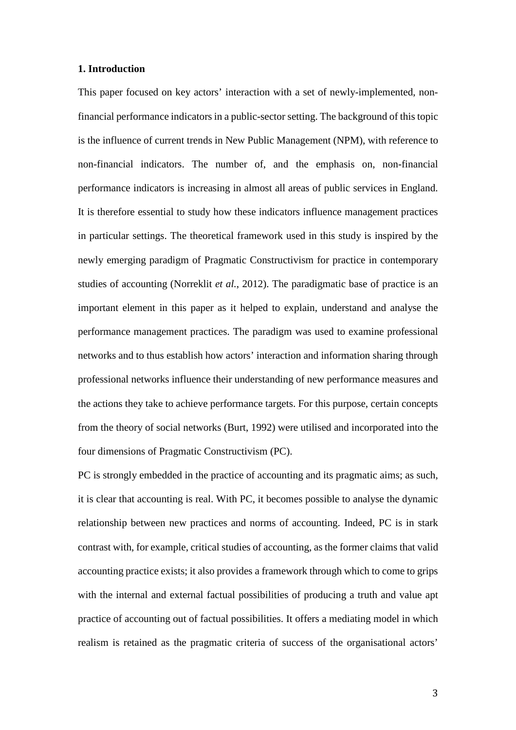### **1. Introduction**

This paper focused on key actors' interaction with a set of newly-implemented, nonfinancial performance indicators in a public-sector setting. The background of this topic is the influence of current trends in New Public Management (NPM), with reference to non-financial indicators. The number of, and the emphasis on, non-financial performance indicators is increasing in almost all areas of public services in England. It is therefore essential to study how these indicators influence management practices in particular settings. The theoretical framework used in this study is inspired by the newly emerging paradigm of Pragmatic Constructivism for practice in contemporary studies of accounting (Norreklit *et al.*, 2012). The paradigmatic base of practice is an important element in this paper as it helped to explain, understand and analyse the performance management practices. The paradigm was used to examine professional networks and to thus establish how actors' interaction and information sharing through professional networks influence their understanding of new performance measures and the actions they take to achieve performance targets. For this purpose, certain concepts from the theory of social networks (Burt, 1992) were utilised and incorporated into the four dimensions of Pragmatic Constructivism (PC).

PC is strongly embedded in the practice of accounting and its pragmatic aims; as such, it is clear that accounting is real. With PC, it becomes possible to analyse the dynamic relationship between new practices and norms of accounting. Indeed, PC is in stark contrast with, for example, critical studies of accounting, as the former claims that valid accounting practice exists; it also provides a framework through which to come to grips with the internal and external factual possibilities of producing a truth and value apt practice of accounting out of factual possibilities. It offers a mediating model in which realism is retained as the pragmatic criteria of success of the organisational actors'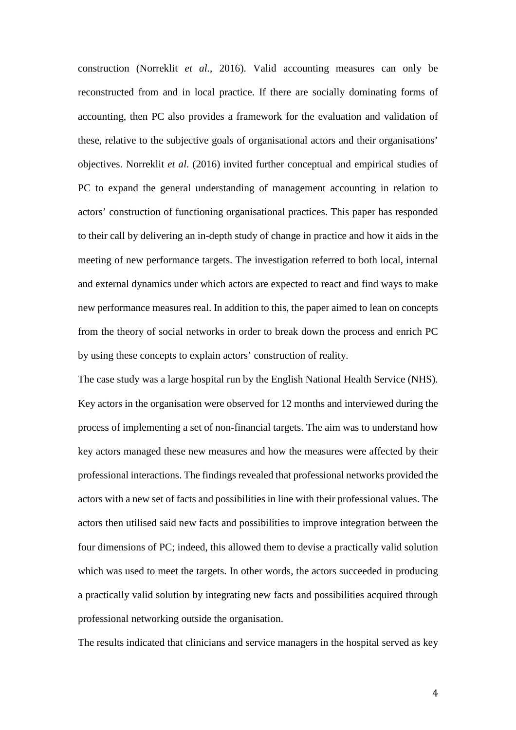construction (Norreklit *et al.*, 2016). Valid accounting measures can only be reconstructed from and in local practice. If there are socially dominating forms of accounting, then PC also provides a framework for the evaluation and validation of these, relative to the subjective goals of organisational actors and their organisations' objectives. Norreklit *et al.* (2016) invited further conceptual and empirical studies of PC to expand the general understanding of management accounting in relation to actors' construction of functioning organisational practices. This paper has responded to their call by delivering an in-depth study of change in practice and how it aids in the meeting of new performance targets. The investigation referred to both local, internal and external dynamics under which actors are expected to react and find ways to make new performance measures real. In addition to this, the paper aimed to lean on concepts from the theory of social networks in order to break down the process and enrich PC by using these concepts to explain actors' construction of reality.

The case study was a large hospital run by the English National Health Service (NHS). Key actors in the organisation were observed for 12 months and interviewed during the process of implementing a set of non-financial targets. The aim was to understand how key actors managed these new measures and how the measures were affected by their professional interactions. The findings revealed that professional networks provided the actors with a new set of facts and possibilities in line with their professional values. The actors then utilised said new facts and possibilities to improve integration between the four dimensions of PC; indeed, this allowed them to devise a practically valid solution which was used to meet the targets. In other words, the actors succeeded in producing a practically valid solution by integrating new facts and possibilities acquired through professional networking outside the organisation.

The results indicated that clinicians and service managers in the hospital served as key

4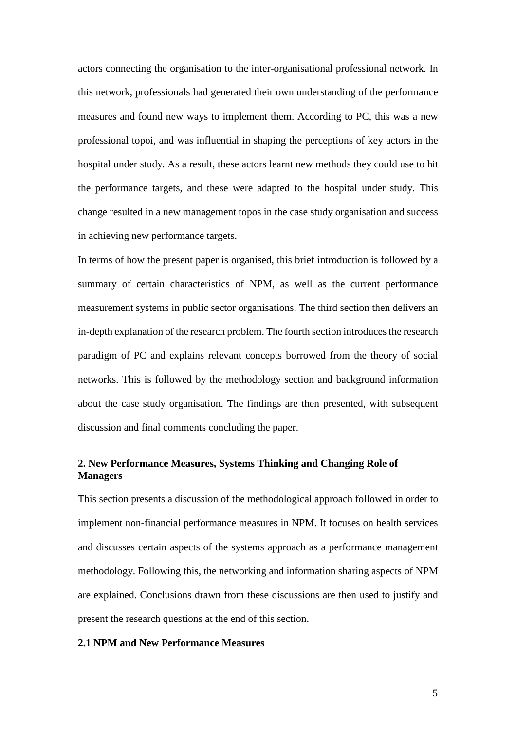actors connecting the organisation to the inter-organisational professional network. In this network, professionals had generated their own understanding of the performance measures and found new ways to implement them. According to PC, this was a new professional topoi, and was influential in shaping the perceptions of key actors in the hospital under study. As a result, these actors learnt new methods they could use to hit the performance targets, and these were adapted to the hospital under study. This change resulted in a new management topos in the case study organisation and success in achieving new performance targets.

In terms of how the present paper is organised, this brief introduction is followed by a summary of certain characteristics of NPM, as well as the current performance measurement systems in public sector organisations. The third section then delivers an in-depth explanation of the research problem. The fourth section introduces the research paradigm of PC and explains relevant concepts borrowed from the theory of social networks. This is followed by the methodology section and background information about the case study organisation. The findings are then presented, with subsequent discussion and final comments concluding the paper.

# **2. New Performance Measures, Systems Thinking and Changing Role of Managers**

This section presents a discussion of the methodological approach followed in order to implement non-financial performance measures in NPM. It focuses on health services and discusses certain aspects of the systems approach as a performance management methodology. Following this, the networking and information sharing aspects of NPM are explained. Conclusions drawn from these discussions are then used to justify and present the research questions at the end of this section.

## **2.1 NPM and New Performance Measures**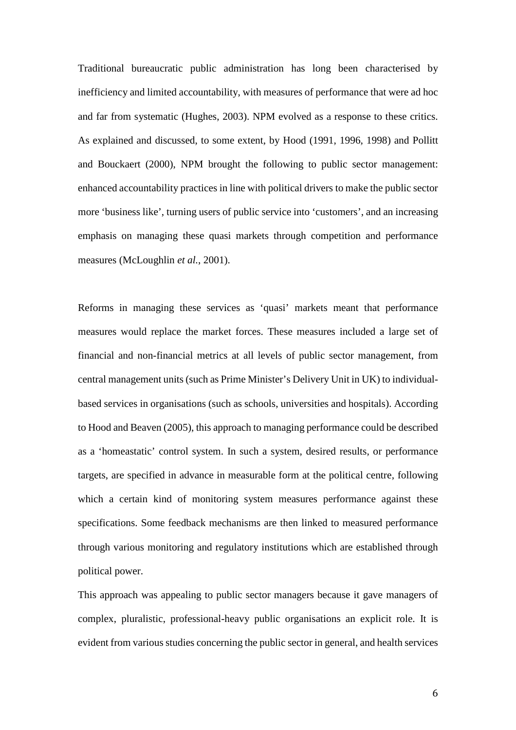Traditional bureaucratic public administration has long been characterised by inefficiency and limited accountability, with measures of performance that were ad hoc and far from systematic (Hughes, 2003). NPM evolved as a response to these critics. As explained and discussed, to some extent, by Hood (1991, 1996, 1998) and Pollitt and Bouckaert (2000), NPM brought the following to public sector management: enhanced accountability practices in line with political drivers to make the public sector more 'business like', turning users of public service into 'customers', and an increasing emphasis on managing these quasi markets through competition and performance measures (McLoughlin *et al.*, 2001).

Reforms in managing these services as 'quasi' markets meant that performance measures would replace the market forces. These measures included a large set of financial and non-financial metrics at all levels of public sector management, from central management units (such as Prime Minister's Delivery Unit in UK) to individualbased services in organisations (such as schools, universities and hospitals). According to Hood and Beaven (2005), this approach to managing performance could be described as a 'homeastatic' control system. In such a system, desired results, or performance targets, are specified in advance in measurable form at the political centre, following which a certain kind of monitoring system measures performance against these specifications. Some feedback mechanisms are then linked to measured performance through various monitoring and regulatory institutions which are established through political power.

This approach was appealing to public sector managers because it gave managers of complex, pluralistic, professional-heavy public organisations an explicit role. It is evident from various studies concerning the public sector in general, and health services

6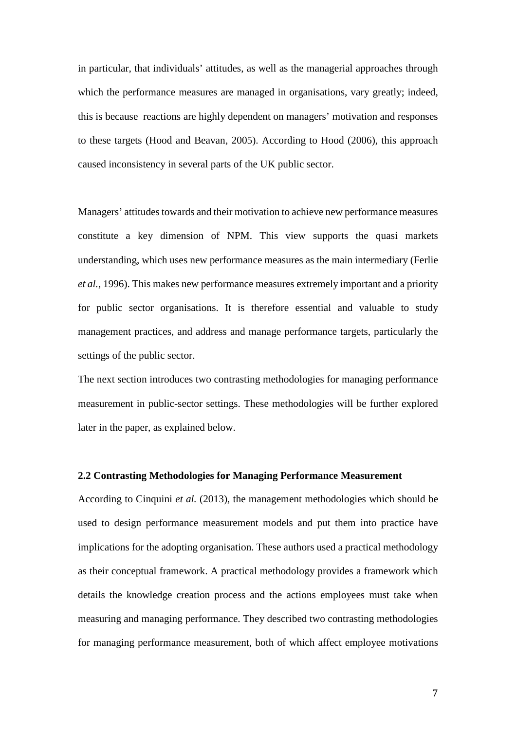in particular, that individuals' attitudes, as well as the managerial approaches through which the performance measures are managed in organisations, vary greatly; indeed, this is because reactions are highly dependent on managers' motivation and responses to these targets (Hood and Beavan, 2005). According to Hood (2006), this approach caused inconsistency in several parts of the UK public sector.

Managers' attitudes towards and their motivation to achieve new performance measures constitute a key dimension of NPM. This view supports the quasi markets understanding, which uses new performance measures as the main intermediary (Ferlie *et al.*, 1996). This makes new performance measures extremely important and a priority for public sector organisations. It is therefore essential and valuable to study management practices, and address and manage performance targets, particularly the settings of the public sector.

The next section introduces two contrasting methodologies for managing performance measurement in public-sector settings. These methodologies will be further explored later in the paper, as explained below.

#### **2.2 Contrasting Methodologies for Managing Performance Measurement**

According to Cinquini *et al.* (2013), the management methodologies which should be used to design performance measurement models and put them into practice have implications for the adopting organisation. These authors used a practical methodology as their conceptual framework. A practical methodology provides a framework which details the knowledge creation process and the actions employees must take when measuring and managing performance. They described two contrasting methodologies for managing performance measurement, both of which affect employee motivations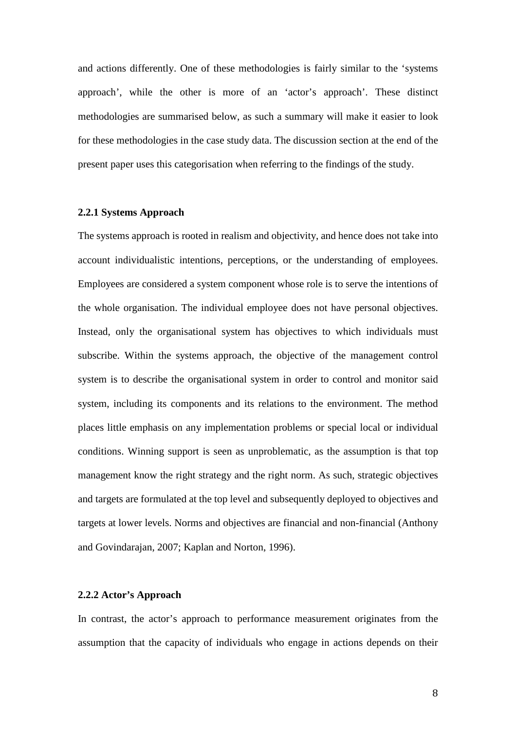and actions differently. One of these methodologies is fairly similar to the 'systems approach', while the other is more of an 'actor's approach'. These distinct methodologies are summarised below, as such a summary will make it easier to look for these methodologies in the case study data. The discussion section at the end of the present paper uses this categorisation when referring to the findings of the study.

### **2.2.1 Systems Approach**

The systems approach is rooted in realism and objectivity, and hence does not take into account individualistic intentions, perceptions, or the understanding of employees. Employees are considered a system component whose role is to serve the intentions of the whole organisation. The individual employee does not have personal objectives. Instead, only the organisational system has objectives to which individuals must subscribe. Within the systems approach, the objective of the management control system is to describe the organisational system in order to control and monitor said system, including its components and its relations to the environment. The method places little emphasis on any implementation problems or special local or individual conditions. Winning support is seen as unproblematic, as the assumption is that top management know the right strategy and the right norm. As such, strategic objectives and targets are formulated at the top level and subsequently deployed to objectives and targets at lower levels. Norms and objectives are financial and non-financial (Anthony and Govindarajan, 2007; Kaplan and Norton, 1996).

### **2.2.2 Actor's Approach**

In contrast, the actor's approach to performance measurement originates from the assumption that the capacity of individuals who engage in actions depends on their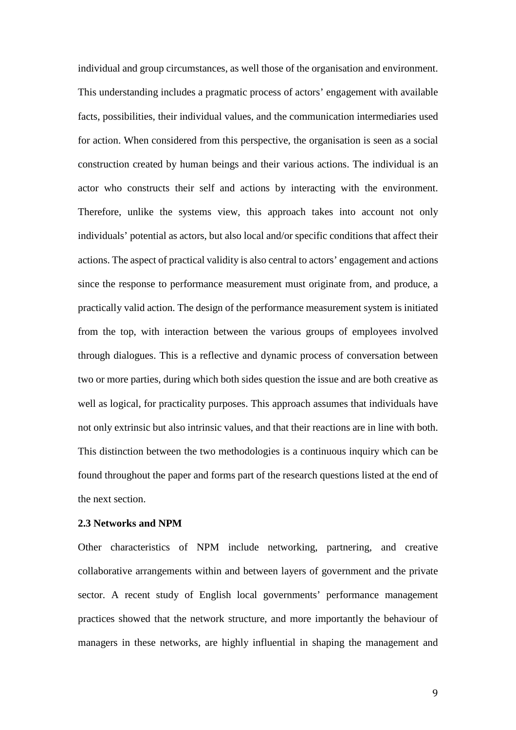individual and group circumstances, as well those of the organisation and environment. This understanding includes a pragmatic process of actors' engagement with available facts, possibilities, their individual values, and the communication intermediaries used for action. When considered from this perspective, the organisation is seen as a social construction created by human beings and their various actions. The individual is an actor who constructs their self and actions by interacting with the environment. Therefore, unlike the systems view, this approach takes into account not only individuals' potential as actors, but also local and/or specific conditions that affect their actions. The aspect of practical validity is also central to actors' engagement and actions since the response to performance measurement must originate from, and produce, a practically valid action. The design of the performance measurement system is initiated from the top, with interaction between the various groups of employees involved through dialogues. This is a reflective and dynamic process of conversation between two or more parties, during which both sides question the issue and are both creative as well as logical, for practicality purposes. This approach assumes that individuals have not only extrinsic but also intrinsic values, and that their reactions are in line with both. This distinction between the two methodologies is a continuous inquiry which can be found throughout the paper and forms part of the research questions listed at the end of the next section.

#### **2.3 Networks and NPM**

Other characteristics of NPM include networking, partnering, and creative collaborative arrangements within and between layers of government and the private sector. A recent study of English local governments' performance management practices showed that the network structure, and more importantly the behaviour of managers in these networks, are highly influential in shaping the management and

9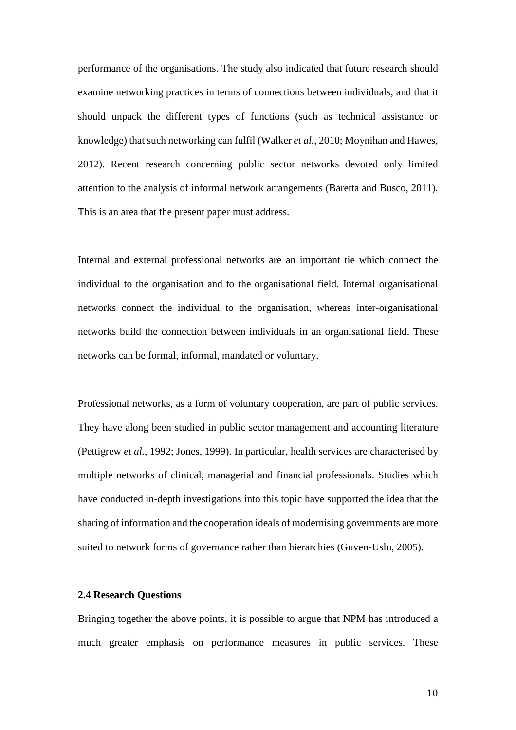performance of the organisations. The study also indicated that future research should examine networking practices in terms of connections between individuals, and that it should unpack the different types of functions (such as technical assistance or knowledge) that such networking can fulfil (Walker *et al.*, 2010; Moynihan and Hawes, 2012). Recent research concerning public sector networks devoted only limited attention to the analysis of informal network arrangements (Baretta and Busco, 2011). This is an area that the present paper must address.

Internal and external professional networks are an important tie which connect the individual to the organisation and to the organisational field. Internal organisational networks connect the individual to the organisation, whereas inter-organisational networks build the connection between individuals in an organisational field. These networks can be formal, informal, mandated or voluntary.

Professional networks, as a form of voluntary cooperation, are part of public services. They have along been studied in public sector management and accounting literature (Pettigrew *et al.*, 1992; Jones, 1999). In particular, health services are characterised by multiple networks of clinical, managerial and financial professionals. Studies which have conducted in-depth investigations into this topic have supported the idea that the sharing of information and the cooperation ideals of modernising governments are more suited to network forms of governance rather than hierarchies (Guven-Uslu, 2005).

### **2.4 Research Questions**

Bringing together the above points, it is possible to argue that NPM has introduced a much greater emphasis on performance measures in public services. These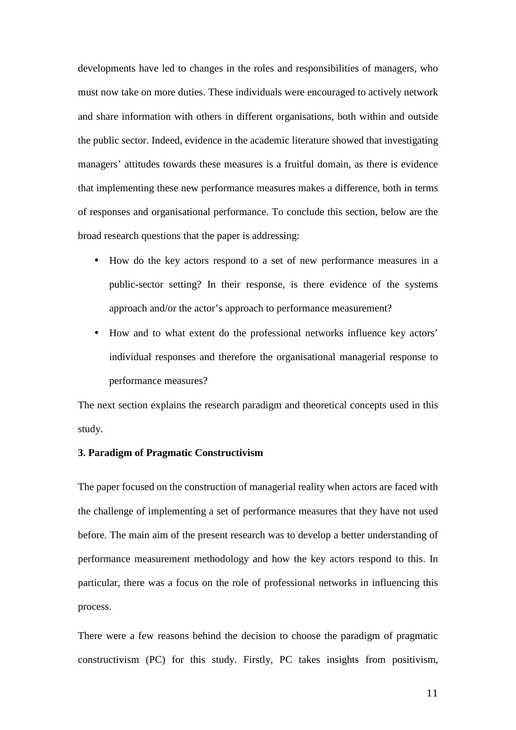developments have led to changes in the roles and responsibilities of managers, who must now take on more duties. These individuals were encouraged to actively network and share information with others in different organisations, both within and outside the public sector. Indeed, evidence in the academic literature showed that investigating managers' attitudes towards these measures is a fruitful domain, as there is evidence that implementing these new performance measures makes a difference, both in terms of responses and organisational performance. To conclude this section, below are the broad research questions that the paper is addressing:

- How do the key actors respond to a set of new performance measures in a public-sector setting? In their response, is there evidence of the systems approach and/or the actor's approach to performance measurement?
- How and to what extent do the professional networks influence key actors' individual responses and therefore the organisational managerial response to performance measures?

The next section explains the research paradigm and theoretical concepts used in this study.

#### **3. Paradigm of Pragmatic Constructivism**

The paper focused on the construction of managerial reality when actors are faced with the challenge of implementing a set of performance measures that they have not used before. The main aim of the present research was to develop a better understanding of performance measurement methodology and how the key actors respond to this. In particular, there was a focus on the role of professional networks in influencing this process.

There were a few reasons behind the decision to choose the paradigm of pragmatic constructivism (PC) for this study. Firstly, PC takes insights from positivism,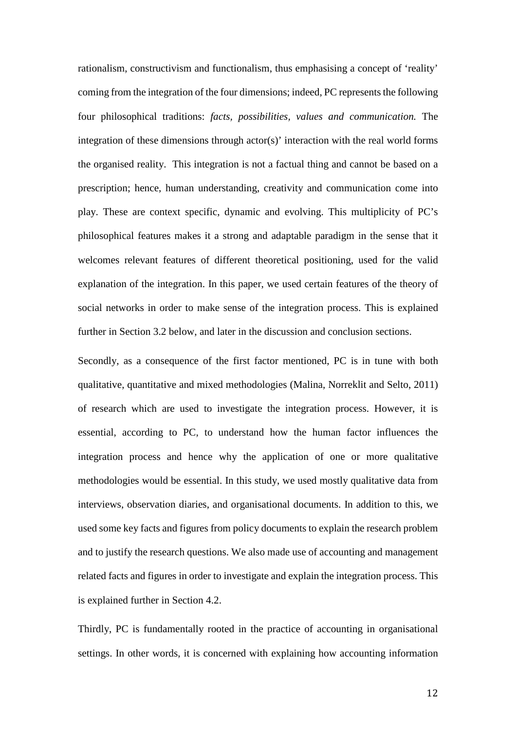rationalism, constructivism and functionalism, thus emphasising a concept of 'reality' coming from the integration of the four dimensions; indeed, PC represents the following four philosophical traditions: *facts, possibilities, values and communication.* The integration of these dimensions through actor(s)' interaction with the real world forms the organised reality. This integration is not a factual thing and cannot be based on a prescription; hence, human understanding, creativity and communication come into play. These are context specific, dynamic and evolving. This multiplicity of PC's philosophical features makes it a strong and adaptable paradigm in the sense that it welcomes relevant features of different theoretical positioning, used for the valid explanation of the integration. In this paper, we used certain features of the theory of social networks in order to make sense of the integration process. This is explained further in Section 3.2 below, and later in the discussion and conclusion sections.

Secondly, as a consequence of the first factor mentioned, PC is in tune with both qualitative, quantitative and mixed methodologies (Malina, Norreklit and Selto, 2011) of research which are used to investigate the integration process. However, it is essential, according to PC, to understand how the human factor influences the integration process and hence why the application of one or more qualitative methodologies would be essential. In this study, we used mostly qualitative data from interviews, observation diaries, and organisational documents. In addition to this, we used some key facts and figures from policy documents to explain the research problem and to justify the research questions. We also made use of accounting and management related facts and figures in order to investigate and explain the integration process. This is explained further in Section 4.2.

Thirdly, PC is fundamentally rooted in the practice of accounting in organisational settings. In other words, it is concerned with explaining how accounting information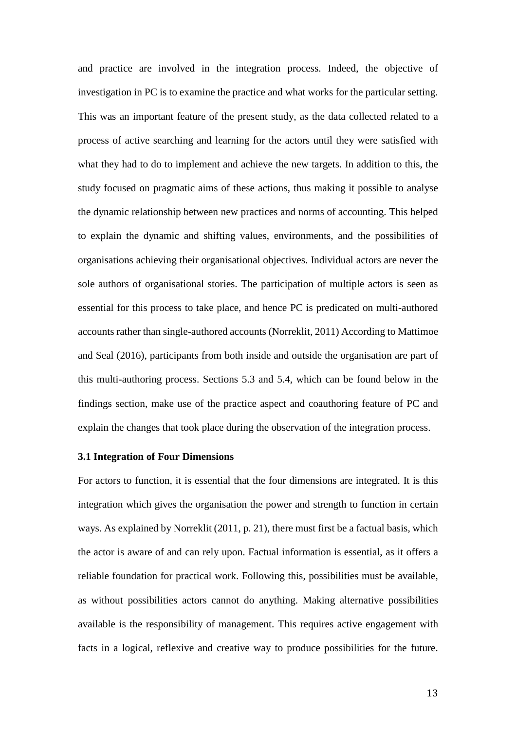and practice are involved in the integration process. Indeed, the objective of investigation in PC is to examine the practice and what works for the particular setting. This was an important feature of the present study, as the data collected related to a process of active searching and learning for the actors until they were satisfied with what they had to do to implement and achieve the new targets. In addition to this, the study focused on pragmatic aims of these actions, thus making it possible to analyse the dynamic relationship between new practices and norms of accounting. This helped to explain the dynamic and shifting values, environments, and the possibilities of organisations achieving their organisational objectives. Individual actors are never the sole authors of organisational stories. The participation of multiple actors is seen as essential for this process to take place, and hence PC is predicated on multi-authored accounts rather than single-authored accounts (Norreklit, 2011) According to Mattimoe and Seal (2016), participants from both inside and outside the organisation are part of this multi-authoring process. Sections 5.3 and 5.4, which can be found below in the findings section, make use of the practice aspect and coauthoring feature of PC and explain the changes that took place during the observation of the integration process.

#### **3.1 Integration of Four Dimensions**

For actors to function, it is essential that the four dimensions are integrated. It is this integration which gives the organisation the power and strength to function in certain ways. As explained by Norreklit (2011, p. 21), there must first be a factual basis, which the actor is aware of and can rely upon. Factual information is essential, as it offers a reliable foundation for practical work. Following this, possibilities must be available, as without possibilities actors cannot do anything. Making alternative possibilities available is the responsibility of management. This requires active engagement with facts in a logical, reflexive and creative way to produce possibilities for the future.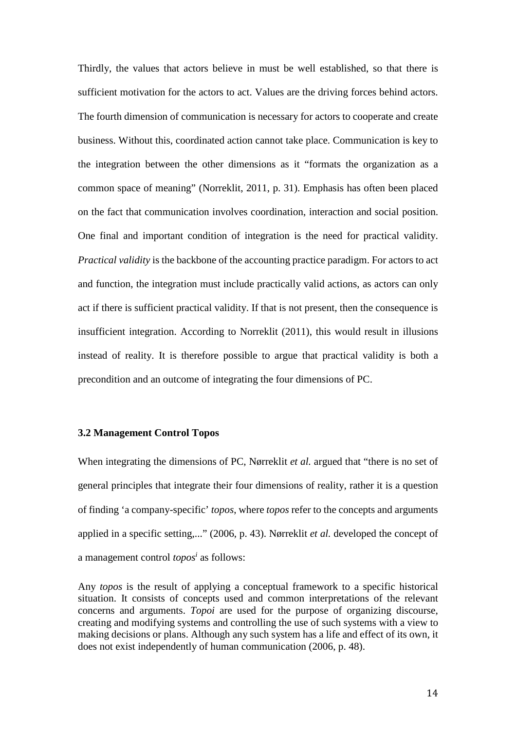Thirdly, the values that actors believe in must be well established, so that there is sufficient motivation for the actors to act. Values are the driving forces behind actors. The fourth dimension of communication is necessary for actors to cooperate and create business. Without this, coordinated action cannot take place. Communication is key to the integration between the other dimensions as it "formats the organization as a common space of meaning" (Norreklit, 2011, p. 31). Emphasis has often been placed on the fact that communication involves coordination, interaction and social position. One final and important condition of integration is the need for practical validity. *Practical validity* is the backbone of the accounting practice paradigm. For actors to act and function, the integration must include practically valid actions, as actors can only act if there is sufficient practical validity. If that is not present, then the consequence is insufficient integration. According to Norreklit (2011), this would result in illusions instead of reality. It is therefore possible to argue that practical validity is both a precondition and an outcome of integrating the four dimensions of PC.

### **3.2 Management Control Topos**

When integrating the dimensions of PC, Nørreklit *et al.* argued that "there is no set of general principles that integrate their four dimensions of reality, rather it is a question of finding 'a company-specific' *topos*, where *topos* refer to the concepts and arguments applied in a specific setting,..." (2006, p. 43). Nørreklit *et al.* developed the concept of a management control *topos<sup>i</sup>* as follows:

Any *topos* is the result of applying a conceptual framework to a specific historical situation. It consists of concepts used and common interpretations of the relevant concerns and arguments. *Topoi* are used for the purpose of organizing discourse, creating and modifying systems and controlling the use of such systems with a view to making decisions or plans. Although any such system has a life and effect of its own, it does not exist independently of human communication (2006, p. 48).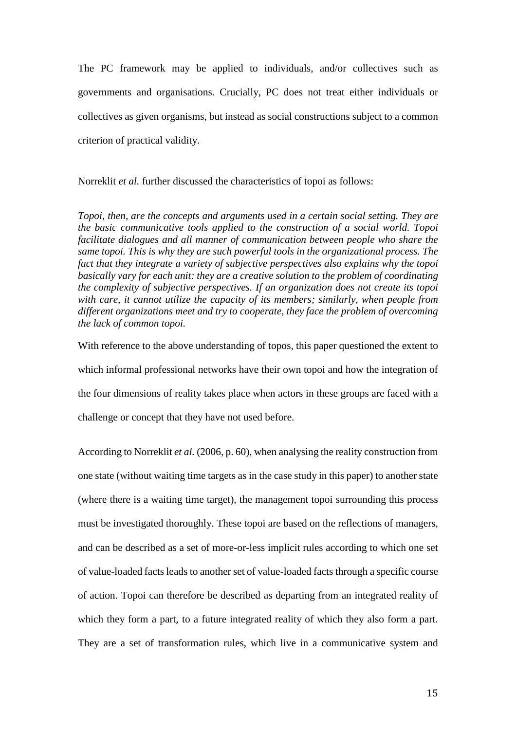The PC framework may be applied to individuals, and/or collectives such as governments and organisations. Crucially, PC does not treat either individuals or collectives as given organisms, but instead as social constructions subject to a common criterion of practical validity.

Norreklit *et al.* further discussed the characteristics of topoi as follows:

*Topoi, then, are the concepts and arguments used in a certain social setting. They are the basic communicative tools applied to the construction of a social world. Topoi facilitate dialogues and all manner of communication between people who share the same topoi. This is why they are such powerful tools in the organizational process. The fact that they integrate a variety of subjective perspectives also explains why the topoi basically vary for each unit: they are a creative solution to the problem of coordinating the complexity of subjective perspectives. If an organization does not create its topoi with care, it cannot utilize the capacity of its members; similarly, when people from different organizations meet and try to cooperate, they face the problem of overcoming the lack of common topoi.* 

With reference to the above understanding of topos, this paper questioned the extent to which informal professional networks have their own topoi and how the integration of the four dimensions of reality takes place when actors in these groups are faced with a challenge or concept that they have not used before.

According to Norreklit *et al.* (2006, p. 60), when analysing the reality construction from one state (without waiting time targets as in the case study in this paper) to another state (where there is a waiting time target), the management topoi surrounding this process must be investigated thoroughly. These topoi are based on the reflections of managers, and can be described as a set of more-or-less implicit rules according to which one set of value-loaded facts leads to another set of value-loaded facts through a specific course of action. Topoi can therefore be described as departing from an integrated reality of which they form a part, to a future integrated reality of which they also form a part. They are a set of transformation rules, which live in a communicative system and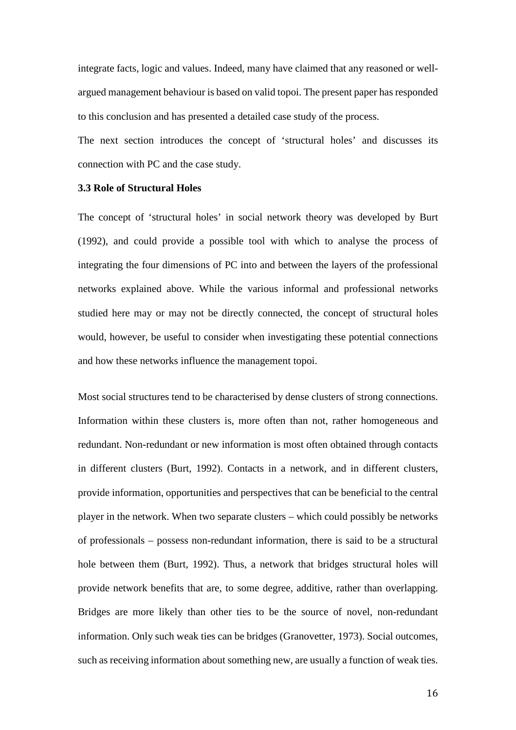integrate facts, logic and values. Indeed, many have claimed that any reasoned or wellargued management behaviour is based on valid topoi. The present paper has responded to this conclusion and has presented a detailed case study of the process.

The next section introduces the concept of 'structural holes' and discusses its connection with PC and the case study.

# **3.3 Role of Structural Holes**

The concept of 'structural holes' in social network theory was developed by Burt (1992), and could provide a possible tool with which to analyse the process of integrating the four dimensions of PC into and between the layers of the professional networks explained above. While the various informal and professional networks studied here may or may not be directly connected, the concept of structural holes would, however, be useful to consider when investigating these potential connections and how these networks influence the management topoi.

Most social structures tend to be characterised by dense clusters of strong connections. Information within these clusters is, more often than not, rather homogeneous and redundant. Non-redundant or new information is most often obtained through contacts in different clusters (Burt, 1992). Contacts in a network, and in different clusters, provide information, opportunities and perspectives that can be beneficial to the central player in the network. When two separate clusters – which could possibly be networks of professionals – possess non-redundant information, there is said to be a structural hole between them (Burt, 1992). Thus, a network that bridges structural holes will provide network benefits that are, to some degree, additive, rather than overlapping. Bridges are more likely than other ties to be the source of novel, non-redundant information. Only such weak ties can be bridges (Granovetter, 1973). Social outcomes, such as receiving information about something new, are usually a function of weak ties.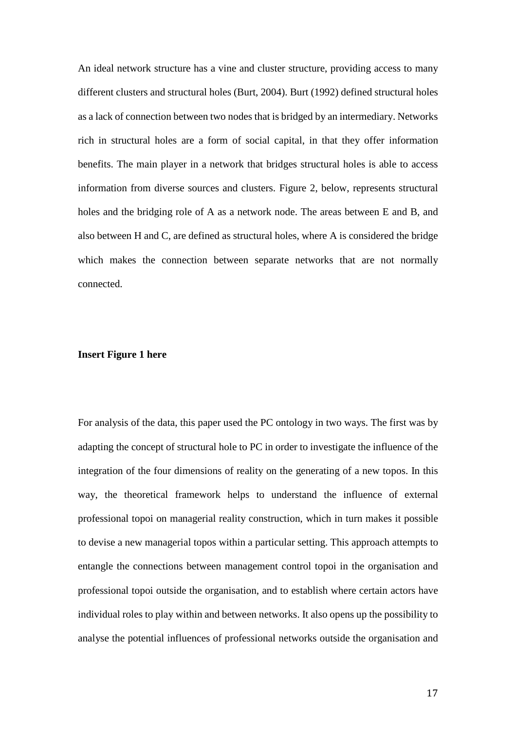An ideal network structure has a vine and cluster structure, providing access to many different clusters and structural holes (Burt, 2004). Burt (1992) defined structural holes as a lack of connection between two nodes that is bridged by an intermediary. Networks rich in structural holes are a form of social capital, in that they offer information benefits. The main player in a network that bridges structural holes is able to access information from diverse sources and clusters. Figure 2, below, represents structural holes and the bridging role of A as a network node. The areas between E and B, and also between H and C, are defined as structural holes, where A is considered the bridge which makes the connection between separate networks that are not normally connected.

#### **Insert Figure 1 here**

For analysis of the data, this paper used the PC ontology in two ways. The first was by adapting the concept of structural hole to PC in order to investigate the influence of the integration of the four dimensions of reality on the generating of a new topos. In this way, the theoretical framework helps to understand the influence of external professional topoi on managerial reality construction, which in turn makes it possible to devise a new managerial topos within a particular setting. This approach attempts to entangle the connections between management control topoi in the organisation and professional topoi outside the organisation, and to establish where certain actors have individual roles to play within and between networks. It also opens up the possibility to analyse the potential influences of professional networks outside the organisation and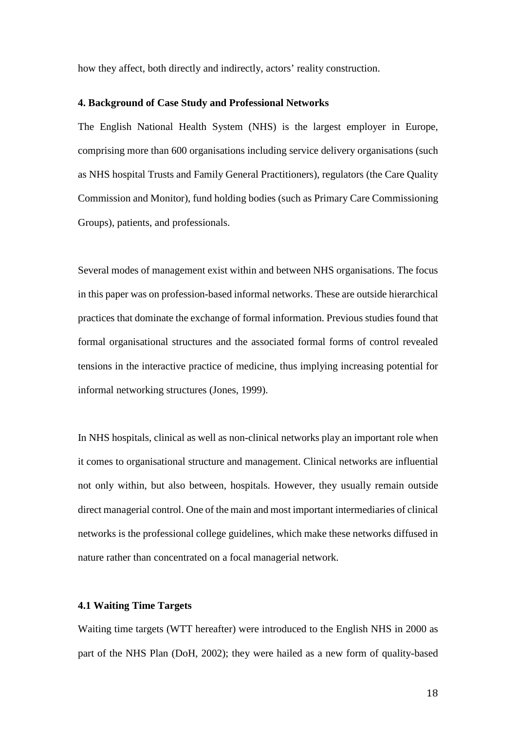how they affect, both directly and indirectly, actors' reality construction.

### **4. Background of Case Study and Professional Networks**

The English National Health System (NHS) is the largest employer in Europe, comprising more than 600 organisations including service delivery organisations (such as NHS hospital Trusts and Family General Practitioners), regulators (the Care Quality Commission and Monitor), fund holding bodies (such as Primary Care Commissioning Groups), patients, and professionals.

Several modes of management exist within and between NHS organisations. The focus in this paper was on profession-based informal networks. These are outside hierarchical practices that dominate the exchange of formal information. Previous studies found that formal organisational structures and the associated formal forms of control revealed tensions in the interactive practice of medicine, thus implying increasing potential for informal networking structures (Jones, 1999).

In NHS hospitals, clinical as well as non-clinical networks play an important role when it comes to organisational structure and management. Clinical networks are influential not only within, but also between, hospitals. However, they usually remain outside direct managerial control. One of the main and most important intermediaries of clinical networks is the professional college guidelines, which make these networks diffused in nature rather than concentrated on a focal managerial network.

### **4.1 Waiting Time Targets**

Waiting time targets (WTT hereafter) were introduced to the English NHS in 2000 as part of the NHS Plan (DoH, 2002); they were hailed as a new form of quality-based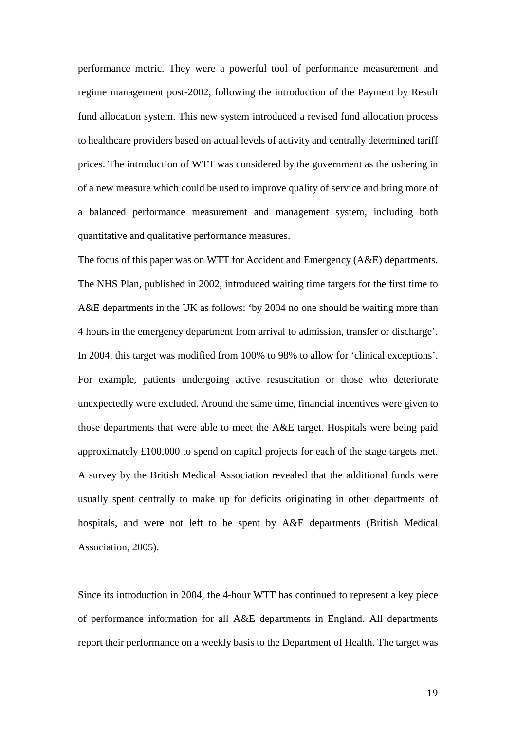performance metric. They were a powerful tool of performance measurement and regime management post-2002, following the introduction of the Payment by Result fund allocation system. This new system introduced a revised fund allocation process to healthcare providers based on actual levels of activity and centrally determined tariff prices. The introduction of WTT was considered by the government as the ushering in of a new measure which could be used to improve quality of service and bring more of a balanced performance measurement and management system, including both quantitative and qualitative performance measures.

The focus of this paper was on WTT for Accident and Emergency (A&E) departments. The NHS Plan, published in 2002, introduced waiting time targets for the first time to A&E departments in the UK as follows: 'by 2004 no one should be waiting more than 4 hours in the emergency department from arrival to admission, transfer or discharge'. In 2004, this target was modified from 100% to 98% to allow for 'clinical exceptions'. For example, patients undergoing active resuscitation or those who deteriorate unexpectedly were excluded. Around the same time, financial incentives were given to those departments that were able to meet the A&E target. Hospitals were being paid approximately £100,000 to spend on capital projects for each of the stage targets met. A survey by the British Medical Association revealed that the additional funds were usually spent centrally to make up for deficits originating in other departments of hospitals, and were not left to be spent by A&E departments (British Medical Association, 2005).

Since its introduction in 2004, the 4-hour WTT has continued to represent a key piece of performance information for all A&E departments in England. All departments report their performance on a weekly basis to the Department of Health. The target was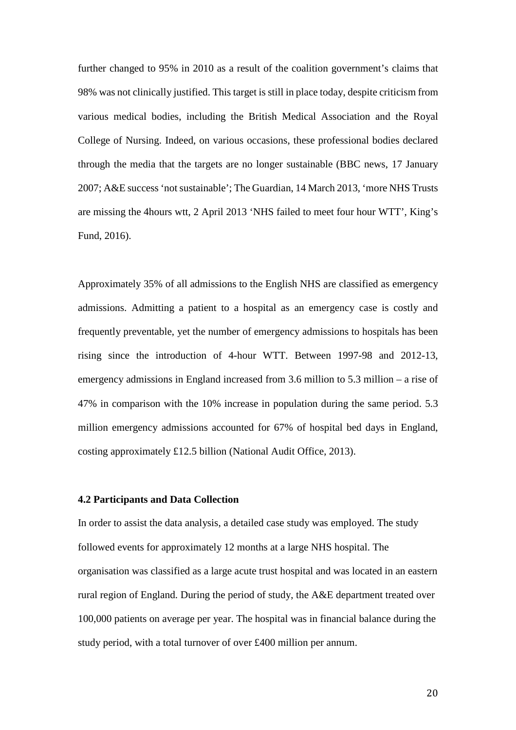further changed to 95% in 2010 as a result of the coalition government's claims that 98% was not clinically justified. This target is still in place today, despite criticism from various medical bodies, including the British Medical Association and the Royal College of Nursing. Indeed, on various occasions, these professional bodies declared through the media that the targets are no longer sustainable (BBC news, 17 January 2007; A&E success 'not sustainable'; The Guardian, 14 March 2013, 'more NHS Trusts are missing the 4hours wtt, 2 April 2013 'NHS failed to meet four hour WTT', King's Fund, 2016).

Approximately 35% of all admissions to the English NHS are classified as emergency admissions. Admitting a patient to a hospital as an emergency case is costly and frequently preventable, yet the number of emergency admissions to hospitals has been rising since the introduction of 4-hour WTT. Between 1997-98 and 2012-13, emergency admissions in England increased from 3.6 million to 5.3 million – a rise of 47% in comparison with the 10% increase in population during the same period. 5.3 million emergency admissions accounted for 67% of hospital bed days in England, costing approximately £12.5 billion (National Audit Office, 2013).

### **4.2 Participants and Data Collection**

In order to assist the data analysis, a detailed case study was employed. The study followed events for approximately 12 months at a large NHS hospital. The organisation was classified as a large acute trust hospital and was located in an eastern rural region of England. During the period of study, the A&E department treated over 100,000 patients on average per year. The hospital was in financial balance during the study period, with a total turnover of over £400 million per annum.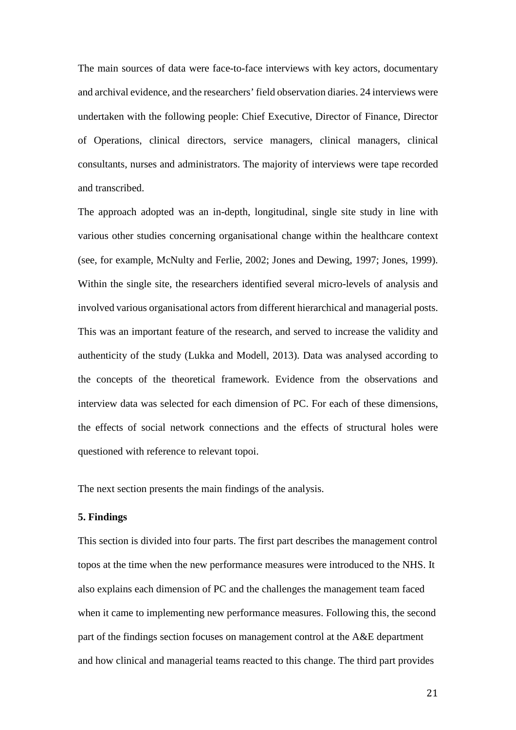The main sources of data were face-to-face interviews with key actors, documentary and archival evidence, and the researchers' field observation diaries. 24 interviews were undertaken with the following people: Chief Executive, Director of Finance, Director of Operations, clinical directors, service managers, clinical managers, clinical consultants, nurses and administrators. The majority of interviews were tape recorded and transcribed.

The approach adopted was an in-depth, longitudinal, single site study in line with various other studies concerning organisational change within the healthcare context (see, for example, McNulty and Ferlie, 2002; Jones and Dewing, 1997; Jones, 1999). Within the single site, the researchers identified several micro-levels of analysis and involved various organisational actors from different hierarchical and managerial posts. This was an important feature of the research, and served to increase the validity and authenticity of the study (Lukka and Modell, 2013). Data was analysed according to the concepts of the theoretical framework. Evidence from the observations and interview data was selected for each dimension of PC. For each of these dimensions, the effects of social network connections and the effects of structural holes were questioned with reference to relevant topoi.

The next section presents the main findings of the analysis.

### **5. Findings**

This section is divided into four parts. The first part describes the management control topos at the time when the new performance measures were introduced to the NHS. It also explains each dimension of PC and the challenges the management team faced when it came to implementing new performance measures. Following this, the second part of the findings section focuses on management control at the A&E department and how clinical and managerial teams reacted to this change. The third part provides

21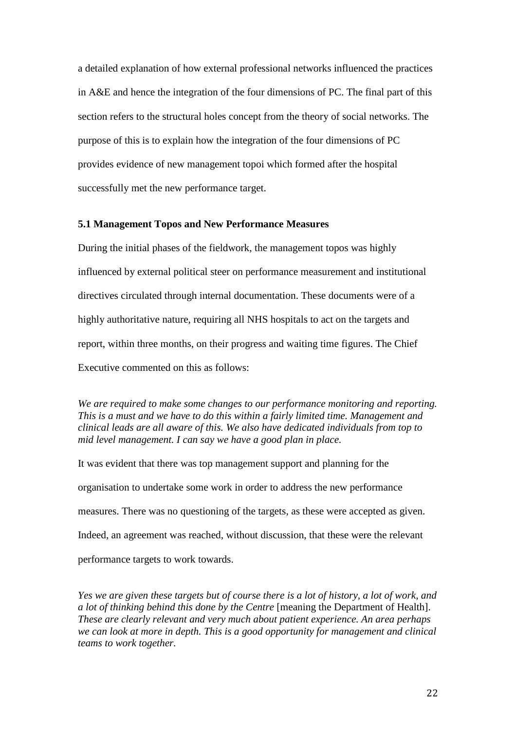a detailed explanation of how external professional networks influenced the practices in A&E and hence the integration of the four dimensions of PC. The final part of this section refers to the structural holes concept from the theory of social networks. The purpose of this is to explain how the integration of the four dimensions of PC provides evidence of new management topoi which formed after the hospital successfully met the new performance target.

### **5.1 Management Topos and New Performance Measures**

During the initial phases of the fieldwork, the management topos was highly influenced by external political steer on performance measurement and institutional directives circulated through internal documentation. These documents were of a highly authoritative nature, requiring all NHS hospitals to act on the targets and report, within three months, on their progress and waiting time figures. The Chief Executive commented on this as follows:

*We are required to make some changes to our performance monitoring and reporting. This is a must and we have to do this within a fairly limited time. Management and clinical leads are all aware of this. We also have dedicated individuals from top to mid level management. I can say we have a good plan in place.* 

It was evident that there was top management support and planning for the organisation to undertake some work in order to address the new performance measures. There was no questioning of the targets, as these were accepted as given. Indeed, an agreement was reached, without discussion, that these were the relevant performance targets to work towards.

*Yes we are given these targets but of course there is a lot of history, a lot of work, and a lot of thinking behind this done by the Centre* [meaning the Department of Health]. *These are clearly relevant and very much about patient experience. An area perhaps we can look at more in depth. This is a good opportunity for management and clinical teams to work together.*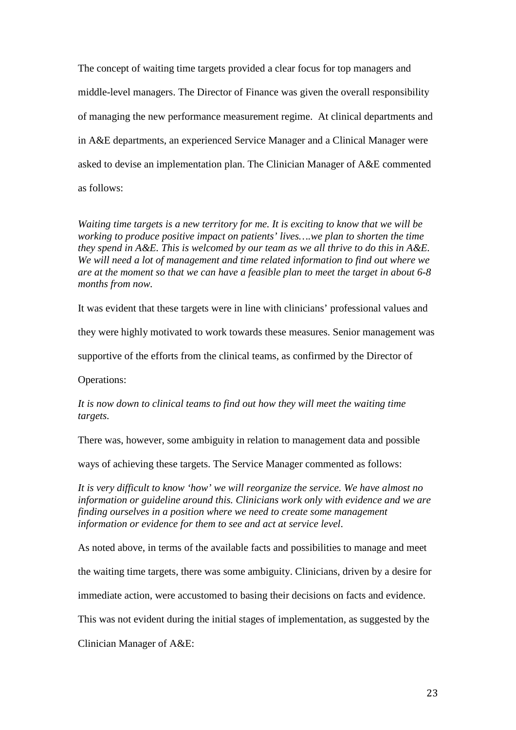The concept of waiting time targets provided a clear focus for top managers and middle-level managers. The Director of Finance was given the overall responsibility of managing the new performance measurement regime. At clinical departments and in A&E departments, an experienced Service Manager and a Clinical Manager were asked to devise an implementation plan. The Clinician Manager of A&E commented as follows:

*Waiting time targets is a new territory for me. It is exciting to know that we will be working to produce positive impact on patients' lives….we plan to shorten the time they spend in A&E. This is welcomed by our team as we all thrive to do this in A&E. We will need a lot of management and time related information to find out where we are at the moment so that we can have a feasible plan to meet the target in about 6-8 months from now.* 

It was evident that these targets were in line with clinicians' professional values and

they were highly motivated to work towards these measures. Senior management was

supportive of the efforts from the clinical teams, as confirmed by the Director of

Operations:

*It is now down to clinical teams to find out how they will meet the waiting time targets.* 

There was, however, some ambiguity in relation to management data and possible

ways of achieving these targets. The Service Manager commented as follows:

*It is very difficult to know 'how' we will reorganize the service. We have almost no information or guideline around this. Clinicians work only with evidence and we are finding ourselves in a position where we need to create some management information or evidence for them to see and act at service level*.

As noted above, in terms of the available facts and possibilities to manage and meet

the waiting time targets, there was some ambiguity. Clinicians, driven by a desire for

immediate action, were accustomed to basing their decisions on facts and evidence.

This was not evident during the initial stages of implementation, as suggested by the

Clinician Manager of A&E: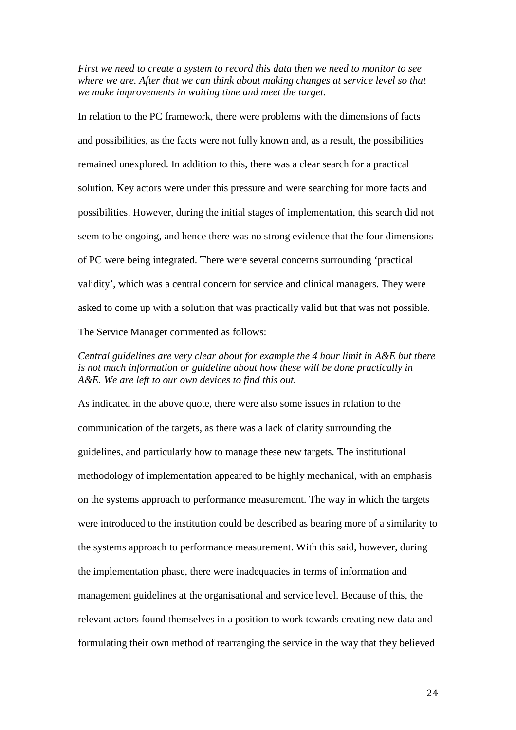*First we need to create a system to record this data then we need to monitor to see where we are. After that we can think about making changes at service level so that we make improvements in waiting time and meet the target.* 

In relation to the PC framework, there were problems with the dimensions of facts and possibilities, as the facts were not fully known and, as a result, the possibilities remained unexplored. In addition to this, there was a clear search for a practical solution. Key actors were under this pressure and were searching for more facts and possibilities. However, during the initial stages of implementation, this search did not seem to be ongoing, and hence there was no strong evidence that the four dimensions of PC were being integrated. There were several concerns surrounding 'practical validity', which was a central concern for service and clinical managers. They were asked to come up with a solution that was practically valid but that was not possible. The Service Manager commented as follows:

*Central guidelines are very clear about for example the 4 hour limit in A&E but there is not much information or guideline about how these will be done practically in A&E. We are left to our own devices to find this out.* 

As indicated in the above quote, there were also some issues in relation to the communication of the targets, as there was a lack of clarity surrounding the guidelines, and particularly how to manage these new targets. The institutional methodology of implementation appeared to be highly mechanical, with an emphasis on the systems approach to performance measurement. The way in which the targets were introduced to the institution could be described as bearing more of a similarity to the systems approach to performance measurement. With this said, however, during the implementation phase, there were inadequacies in terms of information and management guidelines at the organisational and service level. Because of this, the relevant actors found themselves in a position to work towards creating new data and formulating their own method of rearranging the service in the way that they believed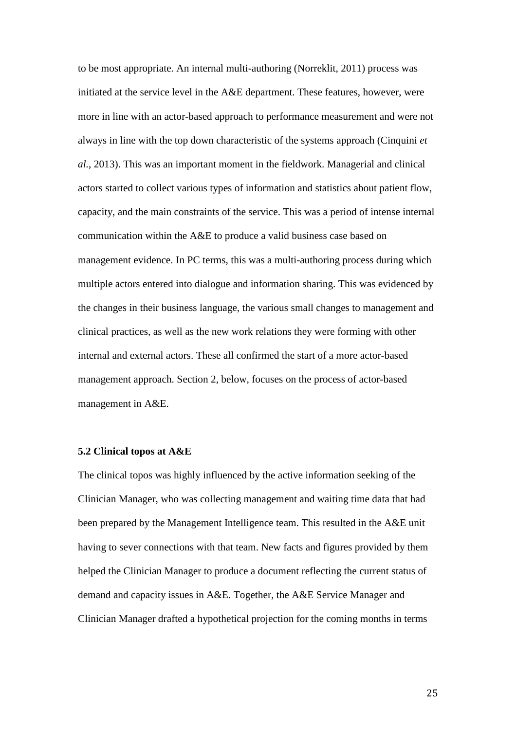to be most appropriate. An internal multi-authoring (Norreklit, 2011) process was initiated at the service level in the A&E department. These features, however, were more in line with an actor-based approach to performance measurement and were not always in line with the top down characteristic of the systems approach (Cinquini *et al.*, 2013). This was an important moment in the fieldwork. Managerial and clinical actors started to collect various types of information and statistics about patient flow, capacity, and the main constraints of the service. This was a period of intense internal communication within the A&E to produce a valid business case based on management evidence. In PC terms, this was a multi-authoring process during which multiple actors entered into dialogue and information sharing. This was evidenced by the changes in their business language, the various small changes to management and clinical practices, as well as the new work relations they were forming with other internal and external actors. These all confirmed the start of a more actor-based management approach. Section 2, below, focuses on the process of actor-based management in A&E.

### **5.2 Clinical topos at A&E**

The clinical topos was highly influenced by the active information seeking of the Clinician Manager, who was collecting management and waiting time data that had been prepared by the Management Intelligence team. This resulted in the A&E unit having to sever connections with that team. New facts and figures provided by them helped the Clinician Manager to produce a document reflecting the current status of demand and capacity issues in A&E. Together, the A&E Service Manager and Clinician Manager drafted a hypothetical projection for the coming months in terms

25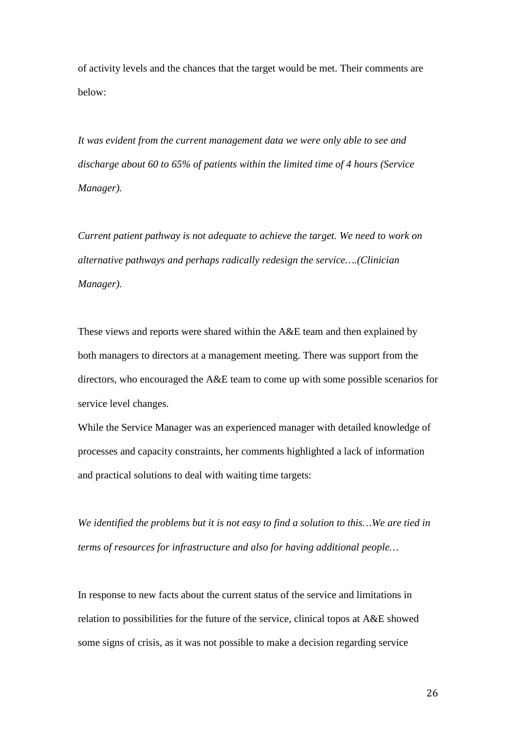of activity levels and the chances that the target would be met. Their comments are below:

*It was evident from the current management data we were only able to see and discharge about 60 to 65% of patients within the limited time of 4 hours (Service Manager).* 

*Current patient pathway is not adequate to achieve the target. We need to work on alternative pathways and perhaps radically redesign the service….(Clinician Manager).* 

These views and reports were shared within the A&E team and then explained by both managers to directors at a management meeting. There was support from the directors, who encouraged the A&E team to come up with some possible scenarios for service level changes.

While the Service Manager was an experienced manager with detailed knowledge of processes and capacity constraints, her comments highlighted a lack of information and practical solutions to deal with waiting time targets:

*We identified the problems but it is not easy to find a solution to this…We are tied in terms of resources for infrastructure and also for having additional people…* 

In response to new facts about the current status of the service and limitations in relation to possibilities for the future of the service, clinical topos at A&E showed some signs of crisis, as it was not possible to make a decision regarding service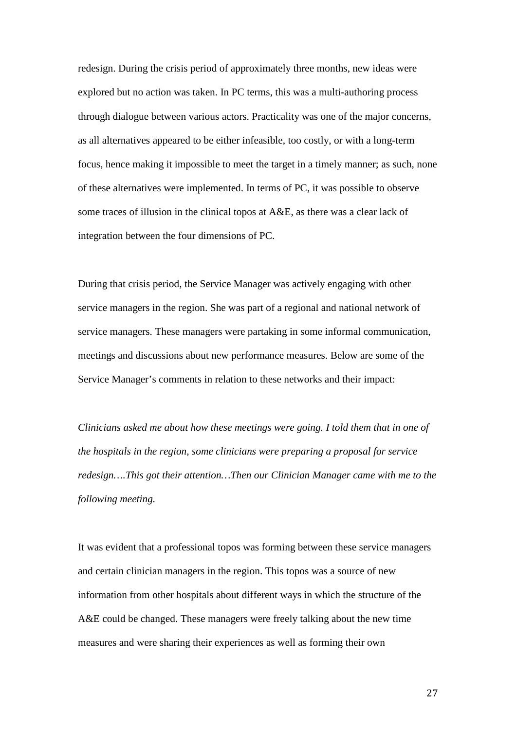redesign. During the crisis period of approximately three months, new ideas were explored but no action was taken. In PC terms, this was a multi-authoring process through dialogue between various actors. Practicality was one of the major concerns, as all alternatives appeared to be either infeasible, too costly, or with a long-term focus, hence making it impossible to meet the target in a timely manner; as such, none of these alternatives were implemented. In terms of PC, it was possible to observe some traces of illusion in the clinical topos at A&E, as there was a clear lack of integration between the four dimensions of PC.

During that crisis period, the Service Manager was actively engaging with other service managers in the region. She was part of a regional and national network of service managers. These managers were partaking in some informal communication, meetings and discussions about new performance measures. Below are some of the Service Manager's comments in relation to these networks and their impact:

*Clinicians asked me about how these meetings were going. I told them that in one of the hospitals in the region, some clinicians were preparing a proposal for service redesign….This got their attention…Then our Clinician Manager came with me to the following meeting.* 

It was evident that a professional topos was forming between these service managers and certain clinician managers in the region. This topos was a source of new information from other hospitals about different ways in which the structure of the A&E could be changed. These managers were freely talking about the new time measures and were sharing their experiences as well as forming their own

27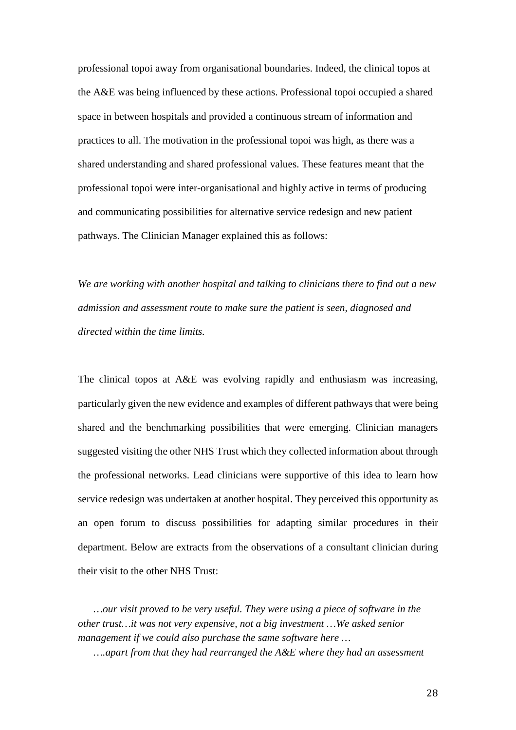professional topoi away from organisational boundaries. Indeed, the clinical topos at the A&E was being influenced by these actions. Professional topoi occupied a shared space in between hospitals and provided a continuous stream of information and practices to all. The motivation in the professional topoi was high, as there was a shared understanding and shared professional values. These features meant that the professional topoi were inter-organisational and highly active in terms of producing and communicating possibilities for alternative service redesign and new patient pathways. The Clinician Manager explained this as follows:

*We are working with another hospital and talking to clinicians there to find out a new admission and assessment route to make sure the patient is seen, diagnosed and directed within the time limits.* 

The clinical topos at A&E was evolving rapidly and enthusiasm was increasing, particularly given the new evidence and examples of different pathways that were being shared and the benchmarking possibilities that were emerging. Clinician managers suggested visiting the other NHS Trust which they collected information about through the professional networks. Lead clinicians were supportive of this idea to learn how service redesign was undertaken at another hospital. They perceived this opportunity as an open forum to discuss possibilities for adapting similar procedures in their department. Below are extracts from the observations of a consultant clinician during their visit to the other NHS Trust:

*…our visit proved to be very useful. They were using a piece of software in the other trust…it was not very expensive, not a big investment …We asked senior management if we could also purchase the same software here …* 

*….apart from that they had rearranged the A&E where they had an assessment*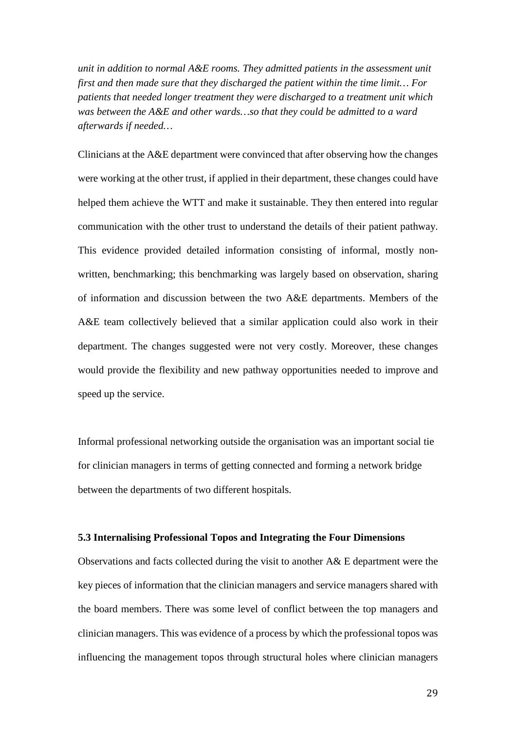*unit in addition to normal A&E rooms. They admitted patients in the assessment unit first and then made sure that they discharged the patient within the time limit… For patients that needed longer treatment they were discharged to a treatment unit which was between the A&E and other wards…so that they could be admitted to a ward afterwards if needed…* 

Clinicians at the A&E department were convinced that after observing how the changes were working at the other trust, if applied in their department, these changes could have helped them achieve the WTT and make it sustainable. They then entered into regular communication with the other trust to understand the details of their patient pathway. This evidence provided detailed information consisting of informal, mostly nonwritten, benchmarking; this benchmarking was largely based on observation, sharing of information and discussion between the two A&E departments. Members of the A&E team collectively believed that a similar application could also work in their department. The changes suggested were not very costly. Moreover, these changes would provide the flexibility and new pathway opportunities needed to improve and speed up the service.

Informal professional networking outside the organisation was an important social tie for clinician managers in terms of getting connected and forming a network bridge between the departments of two different hospitals.

### **5.3 Internalising Professional Topos and Integrating the Four Dimensions**

Observations and facts collected during the visit to another A& E department were the key pieces of information that the clinician managers and service managers shared with the board members. There was some level of conflict between the top managers and clinician managers. This was evidence of a process by which the professional topos was influencing the management topos through structural holes where clinician managers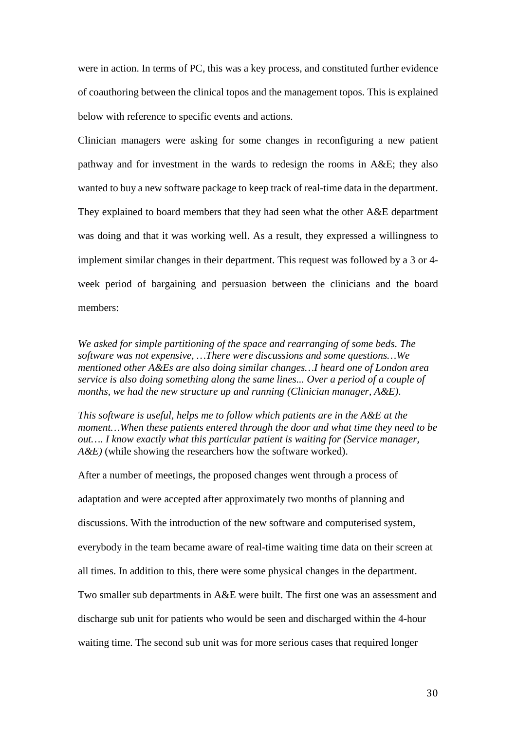were in action. In terms of PC, this was a key process, and constituted further evidence of coauthoring between the clinical topos and the management topos. This is explained below with reference to specific events and actions.

Clinician managers were asking for some changes in reconfiguring a new patient pathway and for investment in the wards to redesign the rooms in A&E; they also wanted to buy a new software package to keep track of real-time data in the department. They explained to board members that they had seen what the other A&E department was doing and that it was working well. As a result, they expressed a willingness to implement similar changes in their department. This request was followed by a 3 or 4 week period of bargaining and persuasion between the clinicians and the board members:

*We asked for simple partitioning of the space and rearranging of some beds. The software was not expensive, …There were discussions and some questions…We mentioned other A&Es are also doing similar changes…I heard one of London area service is also doing something along the same lines... Over a period of a couple of months, we had the new structure up and running (Clinician manager, A&E)*.

*This software is useful, helps me to follow which patients are in the A&E at the moment…When these patients entered through the door and what time they need to be out…. I know exactly what this particular patient is waiting for (Service manager, A&E)* (while showing the researchers how the software worked).

After a number of meetings, the proposed changes went through a process of adaptation and were accepted after approximately two months of planning and discussions. With the introduction of the new software and computerised system, everybody in the team became aware of real-time waiting time data on their screen at all times. In addition to this, there were some physical changes in the department. Two smaller sub departments in A&E were built. The first one was an assessment and discharge sub unit for patients who would be seen and discharged within the 4-hour waiting time. The second sub unit was for more serious cases that required longer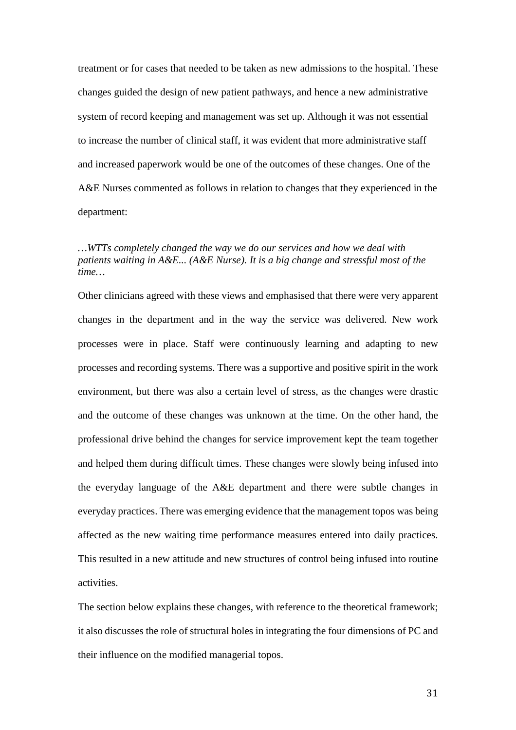treatment or for cases that needed to be taken as new admissions to the hospital. These changes guided the design of new patient pathways, and hence a new administrative system of record keeping and management was set up. Although it was not essential to increase the number of clinical staff, it was evident that more administrative staff and increased paperwork would be one of the outcomes of these changes. One of the A&E Nurses commented as follows in relation to changes that they experienced in the department:

# *…WTTs completely changed the way we do our services and how we deal with patients waiting in A&E... (A&E Nurse). It is a big change and stressful most of the time…*

Other clinicians agreed with these views and emphasised that there were very apparent changes in the department and in the way the service was delivered. New work processes were in place. Staff were continuously learning and adapting to new processes and recording systems. There was a supportive and positive spirit in the work environment, but there was also a certain level of stress, as the changes were drastic and the outcome of these changes was unknown at the time. On the other hand, the professional drive behind the changes for service improvement kept the team together and helped them during difficult times. These changes were slowly being infused into the everyday language of the A&E department and there were subtle changes in everyday practices. There was emerging evidence that the management topos was being affected as the new waiting time performance measures entered into daily practices. This resulted in a new attitude and new structures of control being infused into routine activities.

The section below explains these changes, with reference to the theoretical framework; it also discusses the role of structural holes in integrating the four dimensions of PC and their influence on the modified managerial topos.

31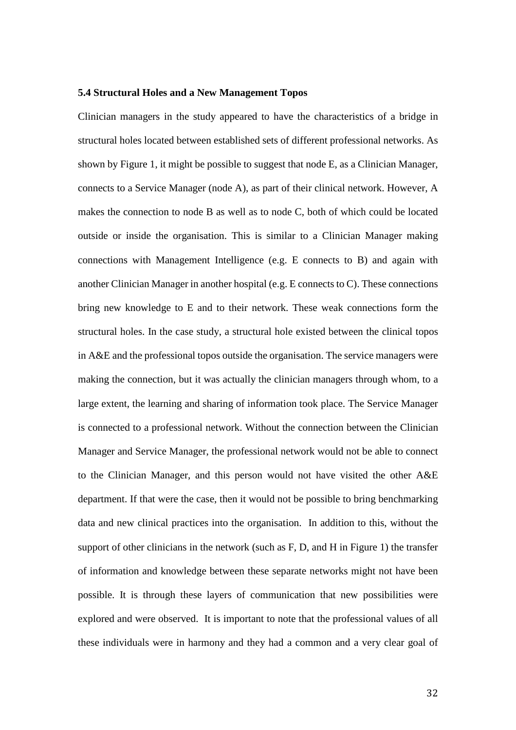#### **5.4 Structural Holes and a New Management Topos**

Clinician managers in the study appeared to have the characteristics of a bridge in structural holes located between established sets of different professional networks. As shown by Figure 1, it might be possible to suggest that node E, as a Clinician Manager, connects to a Service Manager (node A), as part of their clinical network. However, A makes the connection to node B as well as to node C, both of which could be located outside or inside the organisation. This is similar to a Clinician Manager making connections with Management Intelligence (e.g. E connects to B) and again with another Clinician Manager in another hospital (e.g. E connects to C). These connections bring new knowledge to E and to their network. These weak connections form the structural holes. In the case study, a structural hole existed between the clinical topos in A&E and the professional topos outside the organisation. The service managers were making the connection, but it was actually the clinician managers through whom, to a large extent, the learning and sharing of information took place. The Service Manager is connected to a professional network. Without the connection between the Clinician Manager and Service Manager, the professional network would not be able to connect to the Clinician Manager, and this person would not have visited the other A&E department. If that were the case, then it would not be possible to bring benchmarking data and new clinical practices into the organisation. In addition to this, without the support of other clinicians in the network (such as F, D, and H in Figure 1) the transfer of information and knowledge between these separate networks might not have been possible. It is through these layers of communication that new possibilities were explored and were observed. It is important to note that the professional values of all these individuals were in harmony and they had a common and a very clear goal of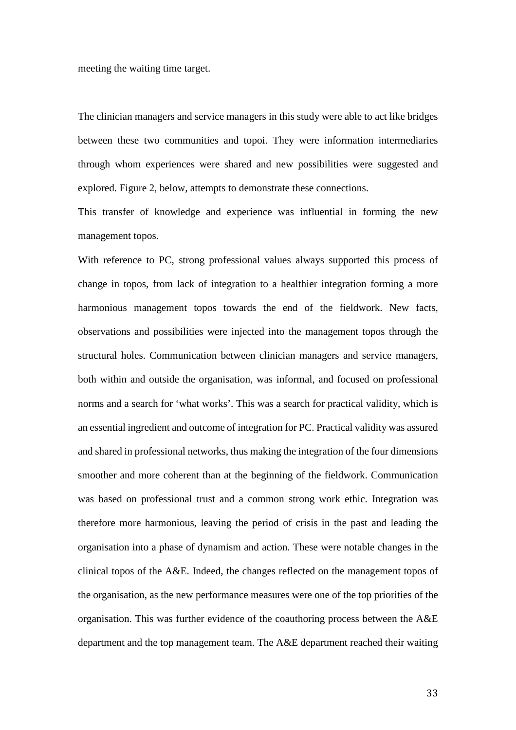meeting the waiting time target.

The clinician managers and service managers in this study were able to act like bridges between these two communities and topoi. They were information intermediaries through whom experiences were shared and new possibilities were suggested and explored. Figure 2, below, attempts to demonstrate these connections.

This transfer of knowledge and experience was influential in forming the new management topos.

With reference to PC, strong professional values always supported this process of change in topos, from lack of integration to a healthier integration forming a more harmonious management topos towards the end of the fieldwork. New facts, observations and possibilities were injected into the management topos through the structural holes. Communication between clinician managers and service managers, both within and outside the organisation, was informal, and focused on professional norms and a search for 'what works'. This was a search for practical validity, which is an essential ingredient and outcome of integration for PC. Practical validity was assured and shared in professional networks, thus making the integration of the four dimensions smoother and more coherent than at the beginning of the fieldwork. Communication was based on professional trust and a common strong work ethic. Integration was therefore more harmonious, leaving the period of crisis in the past and leading the organisation into a phase of dynamism and action. These were notable changes in the clinical topos of the A&E. Indeed, the changes reflected on the management topos of the organisation, as the new performance measures were one of the top priorities of the organisation. This was further evidence of the coauthoring process between the A&E department and the top management team. The A&E department reached their waiting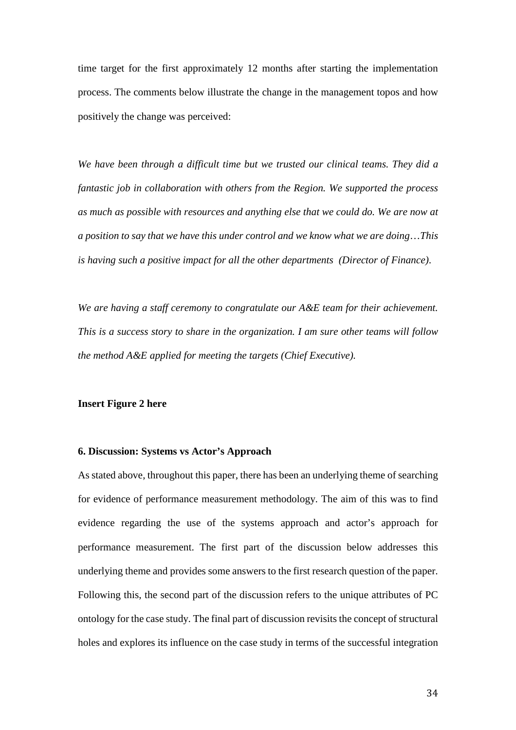time target for the first approximately 12 months after starting the implementation process. The comments below illustrate the change in the management topos and how positively the change was perceived:

*We have been through a difficult time but we trusted our clinical teams. They did a fantastic job in collaboration with others from the Region. We supported the process as much as possible with resources and anything else that we could do. We are now at a position to say that we have this under control and we know what we are doing*…*This is having such a positive impact for all the other departments (Director of Finance)*.

*We are having a staff ceremony to congratulate our A&E team for their achievement. This is a success story to share in the organization. I am sure other teams will follow the method A&E applied for meeting the targets (Chief Executive).* 

#### **Insert Figure 2 here**

### **6. Discussion: Systems vs Actor's Approach**

As stated above, throughout this paper, there has been an underlying theme of searching for evidence of performance measurement methodology. The aim of this was to find evidence regarding the use of the systems approach and actor's approach for performance measurement. The first part of the discussion below addresses this underlying theme and provides some answers to the first research question of the paper. Following this, the second part of the discussion refers to the unique attributes of PC ontology for the case study. The final part of discussion revisits the concept of structural holes and explores its influence on the case study in terms of the successful integration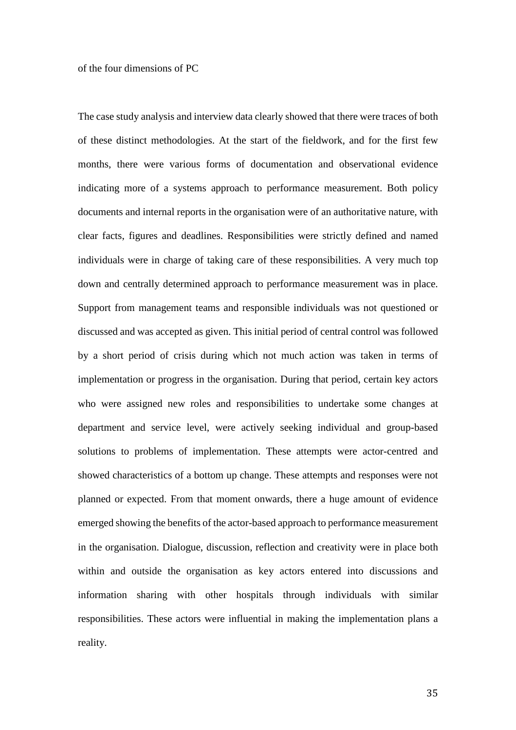of the four dimensions of PC

The case study analysis and interview data clearly showed that there were traces of both of these distinct methodologies. At the start of the fieldwork, and for the first few months, there were various forms of documentation and observational evidence indicating more of a systems approach to performance measurement. Both policy documents and internal reports in the organisation were of an authoritative nature, with clear facts, figures and deadlines. Responsibilities were strictly defined and named individuals were in charge of taking care of these responsibilities. A very much top down and centrally determined approach to performance measurement was in place. Support from management teams and responsible individuals was not questioned or discussed and was accepted as given. This initial period of central control was followed by a short period of crisis during which not much action was taken in terms of implementation or progress in the organisation. During that period, certain key actors who were assigned new roles and responsibilities to undertake some changes at department and service level, were actively seeking individual and group-based solutions to problems of implementation. These attempts were actor-centred and showed characteristics of a bottom up change. These attempts and responses were not planned or expected. From that moment onwards, there a huge amount of evidence emerged showing the benefits of the actor-based approach to performance measurement in the organisation. Dialogue, discussion, reflection and creativity were in place both within and outside the organisation as key actors entered into discussions and information sharing with other hospitals through individuals with similar responsibilities. These actors were influential in making the implementation plans a reality.

35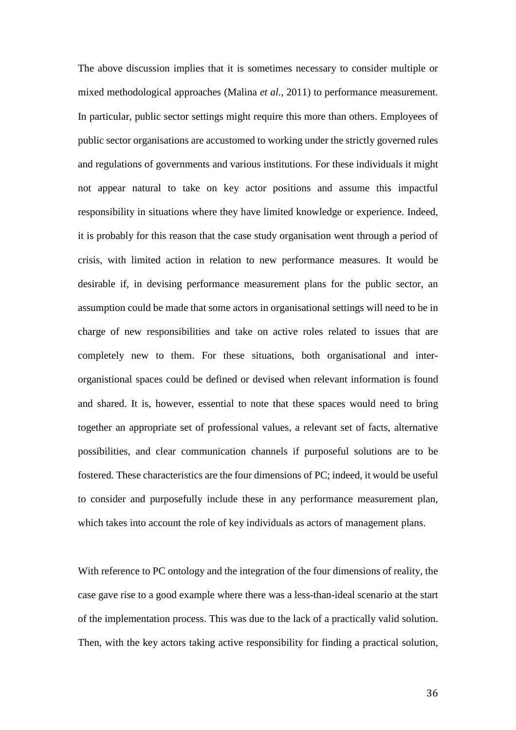The above discussion implies that it is sometimes necessary to consider multiple or mixed methodological approaches (Malina *et al.*, 2011) to performance measurement. In particular, public sector settings might require this more than others. Employees of public sector organisations are accustomed to working under the strictly governed rules and regulations of governments and various institutions. For these individuals it might not appear natural to take on key actor positions and assume this impactful responsibility in situations where they have limited knowledge or experience. Indeed, it is probably for this reason that the case study organisation went through a period of crisis, with limited action in relation to new performance measures. It would be desirable if, in devising performance measurement plans for the public sector, an assumption could be made that some actors in organisational settings will need to be in charge of new responsibilities and take on active roles related to issues that are completely new to them. For these situations, both organisational and interorganistional spaces could be defined or devised when relevant information is found and shared. It is, however, essential to note that these spaces would need to bring together an appropriate set of professional values, a relevant set of facts, alternative possibilities, and clear communication channels if purposeful solutions are to be fostered. These characteristics are the four dimensions of PC; indeed, it would be useful to consider and purposefully include these in any performance measurement plan, which takes into account the role of key individuals as actors of management plans.

With reference to PC ontology and the integration of the four dimensions of reality, the case gave rise to a good example where there was a less-than-ideal scenario at the start of the implementation process. This was due to the lack of a practically valid solution. Then, with the key actors taking active responsibility for finding a practical solution,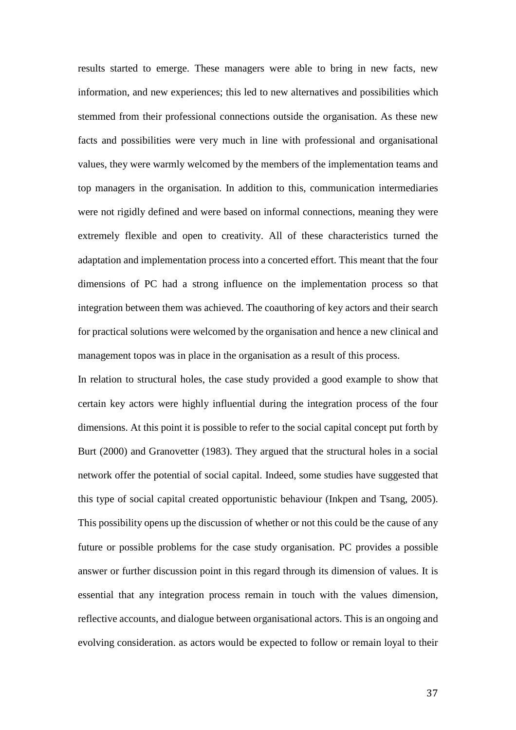results started to emerge. These managers were able to bring in new facts, new information, and new experiences; this led to new alternatives and possibilities which stemmed from their professional connections outside the organisation. As these new facts and possibilities were very much in line with professional and organisational values, they were warmly welcomed by the members of the implementation teams and top managers in the organisation. In addition to this, communication intermediaries were not rigidly defined and were based on informal connections, meaning they were extremely flexible and open to creativity. All of these characteristics turned the adaptation and implementation process into a concerted effort. This meant that the four dimensions of PC had a strong influence on the implementation process so that integration between them was achieved. The coauthoring of key actors and their search for practical solutions were welcomed by the organisation and hence a new clinical and management topos was in place in the organisation as a result of this process.

In relation to structural holes, the case study provided a good example to show that certain key actors were highly influential during the integration process of the four dimensions. At this point it is possible to refer to the social capital concept put forth by Burt (2000) and Granovetter (1983). They argued that the structural holes in a social network offer the potential of social capital. Indeed, some studies have suggested that this type of social capital created opportunistic behaviour (Inkpen and Tsang, 2005). This possibility opens up the discussion of whether or not this could be the cause of any future or possible problems for the case study organisation. PC provides a possible answer or further discussion point in this regard through its dimension of values. It is essential that any integration process remain in touch with the values dimension, reflective accounts, and dialogue between organisational actors. This is an ongoing and evolving consideration. as actors would be expected to follow or remain loyal to their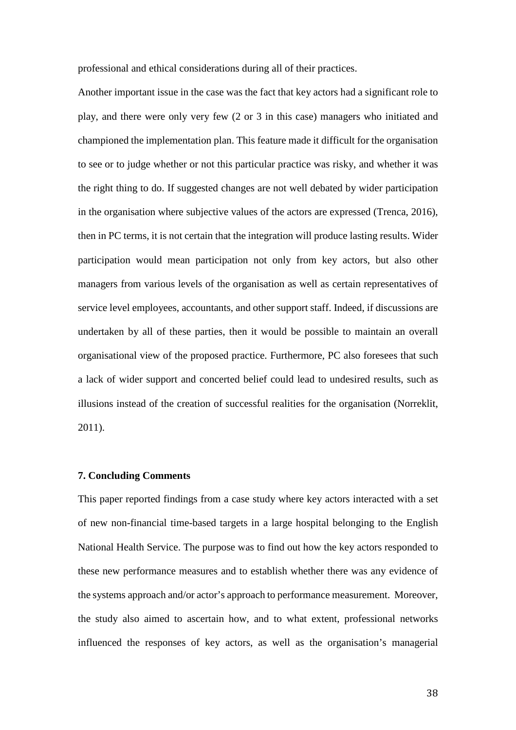professional and ethical considerations during all of their practices.

Another important issue in the case was the fact that key actors had a significant role to play, and there were only very few (2 or 3 in this case) managers who initiated and championed the implementation plan. This feature made it difficult for the organisation to see or to judge whether or not this particular practice was risky, and whether it was the right thing to do. If suggested changes are not well debated by wider participation in the organisation where subjective values of the actors are expressed (Trenca, 2016), then in PC terms, it is not certain that the integration will produce lasting results. Wider participation would mean participation not only from key actors, but also other managers from various levels of the organisation as well as certain representatives of service level employees, accountants, and other support staff. Indeed, if discussions are undertaken by all of these parties, then it would be possible to maintain an overall organisational view of the proposed practice. Furthermore, PC also foresees that such a lack of wider support and concerted belief could lead to undesired results, such as illusions instead of the creation of successful realities for the organisation (Norreklit, 2011).

#### **7. Concluding Comments**

This paper reported findings from a case study where key actors interacted with a set of new non-financial time-based targets in a large hospital belonging to the English National Health Service. The purpose was to find out how the key actors responded to these new performance measures and to establish whether there was any evidence of the systems approach and/or actor's approach to performance measurement. Moreover, the study also aimed to ascertain how, and to what extent, professional networks influenced the responses of key actors, as well as the organisation's managerial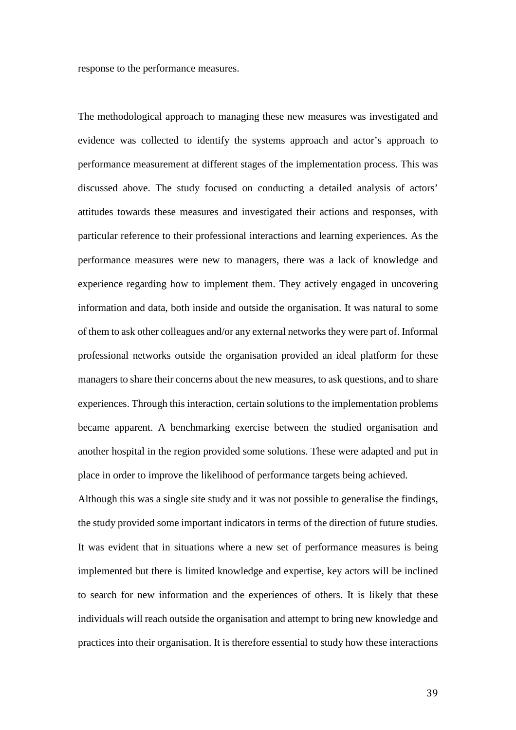response to the performance measures.

The methodological approach to managing these new measures was investigated and evidence was collected to identify the systems approach and actor's approach to performance measurement at different stages of the implementation process. This was discussed above. The study focused on conducting a detailed analysis of actors' attitudes towards these measures and investigated their actions and responses, with particular reference to their professional interactions and learning experiences. As the performance measures were new to managers, there was a lack of knowledge and experience regarding how to implement them. They actively engaged in uncovering information and data, both inside and outside the organisation. It was natural to some of them to ask other colleagues and/or any external networks they were part of. Informal professional networks outside the organisation provided an ideal platform for these managers to share their concerns about the new measures, to ask questions, and to share experiences. Through this interaction, certain solutions to the implementation problems became apparent. A benchmarking exercise between the studied organisation and another hospital in the region provided some solutions. These were adapted and put in place in order to improve the likelihood of performance targets being achieved.

Although this was a single site study and it was not possible to generalise the findings, the study provided some important indicators in terms of the direction of future studies. It was evident that in situations where a new set of performance measures is being implemented but there is limited knowledge and expertise, key actors will be inclined to search for new information and the experiences of others. It is likely that these individuals will reach outside the organisation and attempt to bring new knowledge and practices into their organisation. It is therefore essential to study how these interactions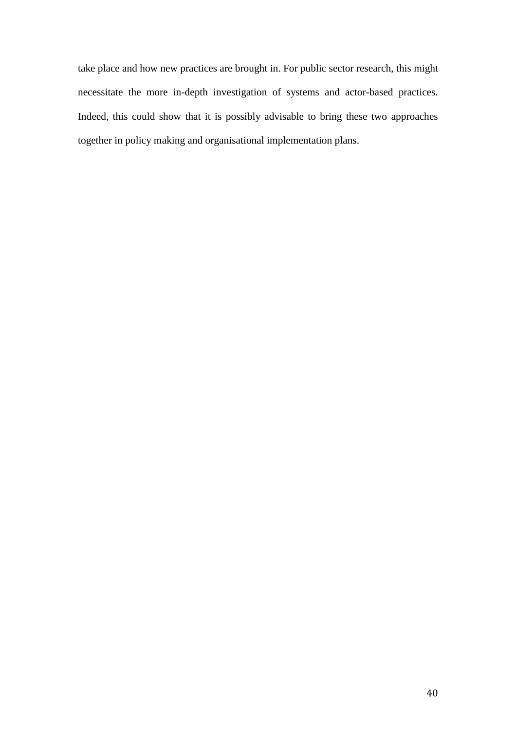take place and how new practices are brought in. For public sector research, this might necessitate the more in-depth investigation of systems and actor-based practices. Indeed, this could show that it is possibly advisable to bring these two approaches together in policy making and organisational implementation plans.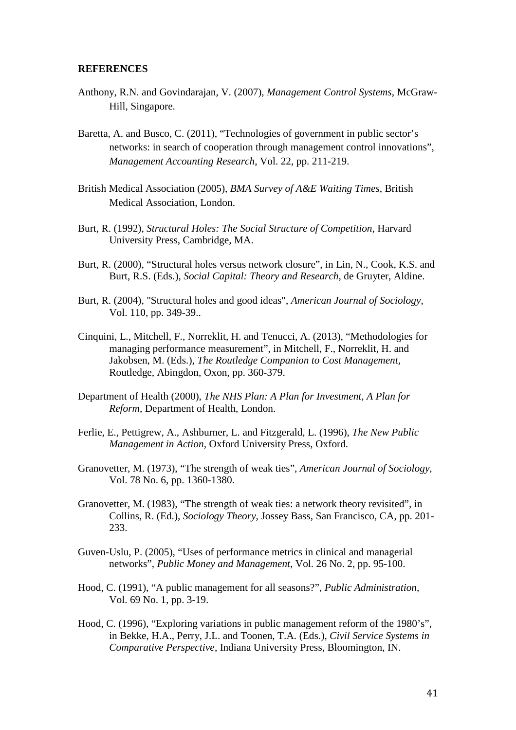#### **REFERENCES**

- Anthony, R.N. and Govindarajan, V. (2007), *Management Control Systems*, McGraw-Hill, Singapore.
- Baretta, A. and Busco, C. (2011), "Technologies of government in public sector's networks: in search of cooperation through management control innovations", *Management Accounting Research*, Vol. 22, pp. 211-219.
- British Medical Association (2005), *BMA Survey of A&E Waiting Times*, British Medical Association, London.
- Burt, R. (1992), *Structural Holes: The Social Structure of Competition*, Harvard University Press, Cambridge, MA.
- Burt, R. (2000), "Structural holes versus network closure", in Lin, N., Cook, K.S. and Burt, R.S. (Eds.), *Social Capital: Theory and Research*, de Gruyter, Aldine.
- Burt, R. (2004), "Structural holes and good ideas", *American Journal of Sociology*, Vol. 110, pp. 349-39..
- Cinquini, L., Mitchell, F., Norreklit, H. and Tenucci, A. (2013), "Methodologies for managing performance measurement", in Mitchell, F., Norreklit, H. and Jakobsen, M. (Eds.), *The Routledge Companion to Cost Management*, Routledge, Abingdon, Oxon, pp. 360-379.
- Department of Health (2000), *The NHS Plan: A Plan for Investment, A Plan for Reform*, Department of Health, London.
- Ferlie, E., Pettigrew, A., Ashburner, L. and Fitzgerald, L. (1996), *The New Public Management in Action*, Oxford University Press, Oxford.
- Granovetter, M. (1973), "The strength of weak ties", *American Journal of Sociology*, Vol. 78 No. 6, pp. 1360-1380.
- Granovetter, M. (1983), "The strength of weak ties: a network theory revisited", in Collins, R. (Ed.), *Sociology Theory*, Jossey Bass, San Francisco, CA, pp. 201- 233.
- Guven-Uslu, P. (2005), "Uses of performance metrics in clinical and managerial networks", *Public Money and Management*, Vol. 26 No. 2, pp. 95-100.
- Hood, C. (1991), "A public management for all seasons?", *Public Administration*, Vol. 69 No. 1, pp. 3-19.
- Hood, C. (1996), "Exploring variations in public management reform of the 1980's", in Bekke, H.A., Perry, J.L. and Toonen, T.A. (Eds.), *Civil Service Systems in Comparative Perspective*, Indiana University Press, Bloomington, IN.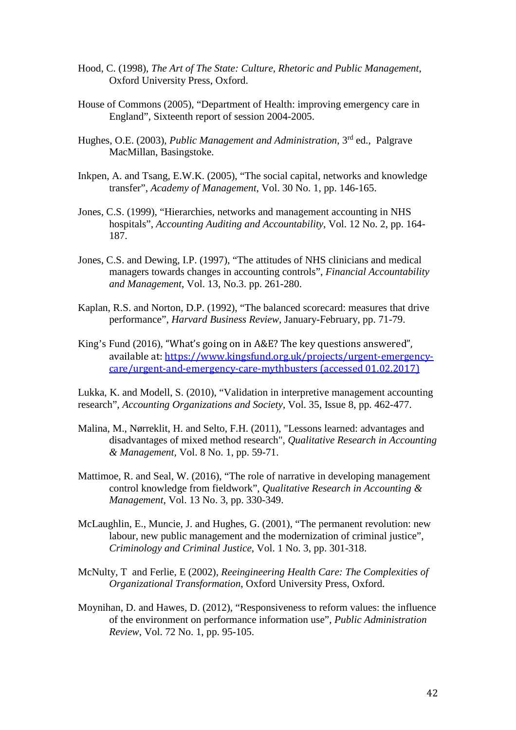- Hood, C. (1998), *The Art of The State: Culture, Rhetoric and Public Management*, Oxford University Press, Oxford.
- House of Commons (2005), "Department of Health: improving emergency care in England", Sixteenth report of session 2004-2005.
- Hughes, O.E. (2003), *Public Management and Administration*, 3rd ed., Palgrave MacMillan, Basingstoke.
- Inkpen, A. and Tsang, E.W.K. (2005), "The social capital, networks and knowledge transfer", *Academy of Management*, Vol. 30 No. 1, pp. 146-165.
- Jones, C.S. (1999), "Hierarchies, networks and management accounting in NHS hospitals", *Accounting Auditing and Accountability*, Vol. 12 No. 2, pp. 164- 187.
- Jones, C.S. and Dewing, I.P. (1997), "The attitudes of NHS clinicians and medical managers towards changes in accounting controls", *Financial Accountability and Management*, Vol. 13, No.3. pp. 261-280.
- Kaplan, R.S. and Norton, D.P. (1992), "The balanced scorecard: measures that drive performance", *Harvard Business Review*, January-February, pp. 71-79.
- King's Fund (2016), "What's going on in A&E? The key questions answered", available at: https://www.kingsfund.org.uk/projects/urgent-emergencycare/urgent-and-emergency-care-mythbusters (accessed 01.02.2017)

Lukka, K. and Modell, S. (2010), "Validation in interpretive management accounting research", *Accounting Organizations and Society*, Vol. 35, Issue 8, pp. 462-477.

- Malina, M., Nørreklit, H. and Selto, F.H. (2011), "Lessons learned: advantages and disadvantages of mixed method research", *Qualitative Research in Accounting & Management,* Vol. 8 No. 1, pp. 59-71.
- Mattimoe, R. and Seal, W. (2016), "The role of narrative in developing management control knowledge from fieldwork", *Qualitative Research in Accounting & Management*, Vol. 13 No. 3, pp. 330-349.
- McLaughlin, E., Muncie, J. and Hughes, G. (2001), "The permanent revolution: new labour, new public management and the modernization of criminal justice", *Criminology and Criminal Justice*, Vol. 1 No. 3, pp. 301-318.
- McNulty, T and Ferlie, E (2002), *Reeingineering Health Care: The Complexities of Organizational Transformation*, Oxford University Press, Oxford.
- Moynihan, D. and Hawes, D. (2012), "Responsiveness to reform values: the influence of the environment on performance information use", *Public Administration Review*, Vol. 72 No. 1, pp. 95-105.